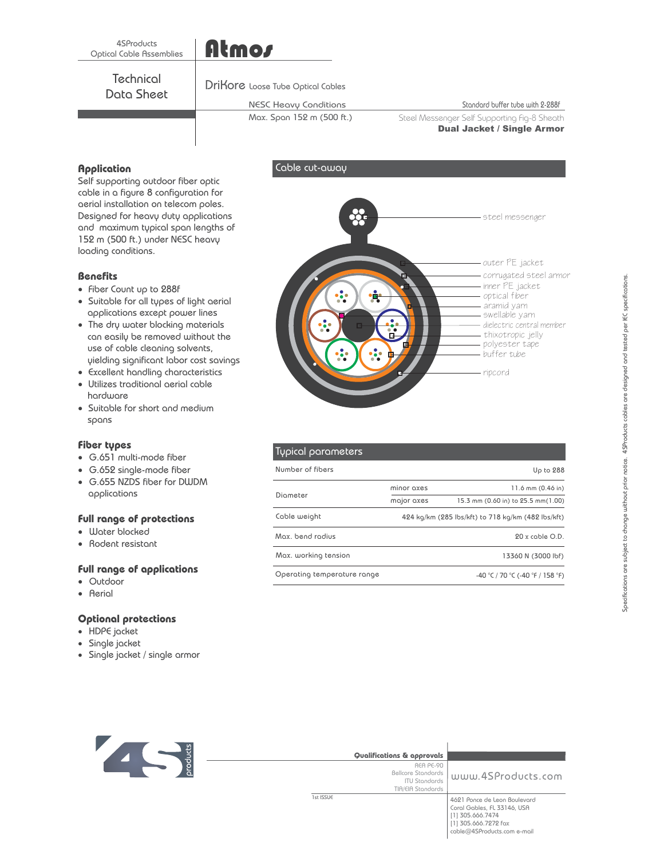## 4SProducts Optical Cable Assemblies

## **Technical** Data Sheet

## DriKore Loose Tube Optical Cables

Atmos

## NESC Heavy Conditions

Max. Span 152 m (500 ft.)

Cable cut-away

Standard buffer tube with 2-288f

Steel Messenger Self Supporting Fig-8 Sheath<br>Dual Jacket / Single Armor s and discussed alonged changes

**Application**<br>Self supporting outdoor fiber optic cable in a figure 8 configuration for aerial installation on telecom poles. Designed for heavy duty applications and maximum typical span lengths of 152 m (500 ft.) under NESC heavy loading conditions.

- **Benefits** Fiber Count up to 288f
- Suitable for all types of light aerial applications except power lines
- The dry water blocking materials can easily be removed without the use of cable cleaning solvents, yielding significant labor cost savings
- Excellent handling characteristics
- -Utilizes traditional aerial cable hardware
- Suitable for short and medium spans

- **Fiber types** G.651 multi-mode fiber
- G.652 single-mode fiber
- G.655 NZDS fiber for DWDM applications

- Water blocked **Full range of protections** -
- Rodent resistant

- **Full range of applications** -Outdoor
- -Aerial

- HDPE jacket **Optional protections** -
- Single jacket -
- Single jacket / single armor -

| steel messenger                                                                                                                                                                                              |
|--------------------------------------------------------------------------------------------------------------------------------------------------------------------------------------------------------------|
| outer PE jacket<br>corrugated steel armor<br>inner PE jacket<br>optical fiber<br>aramid yarn<br>swellable yarn<br>dielectric central member<br>thixotropic jelly<br>polyester tape<br>buffer tube<br>ripcord |
|                                                                                                                                                                                                              |

### Typical parameters 11.6 mm (0.46 in) Up to 288 424 kg/km (285 lbs/kft) to 718 kg/km (482 lbs/kft) 20 x cable O.D. 13360 N (3000 lbf) Number of fibers Diameter Cable weight Max. bend radius Max. working tension Operating temperature range  $-40 \degree$ C / 70  $\degree$ C (-40  $\degree$ F / 158  $\degree$ F) major axes minor axes 15.3 mm (0.60 in) to 25.5 mm(1.00)



| Qualifications & approvals                                                          |                                                                                                                                        |
|-------------------------------------------------------------------------------------|----------------------------------------------------------------------------------------------------------------------------------------|
| REA PE-90<br><b>Bellcore Standards</b><br><b>ITU Standards</b><br>TIA/EIA Standards | www.4SProducts.com                                                                                                                     |
| 1st ISSUE                                                                           | 4621 Ponce de Leon Boulevard<br>Coral Gables, FL 33146, USA<br>[1] 305.666.7474<br>[1] 305.666.7272 fax<br>cable@4SProducts.com e-mail |